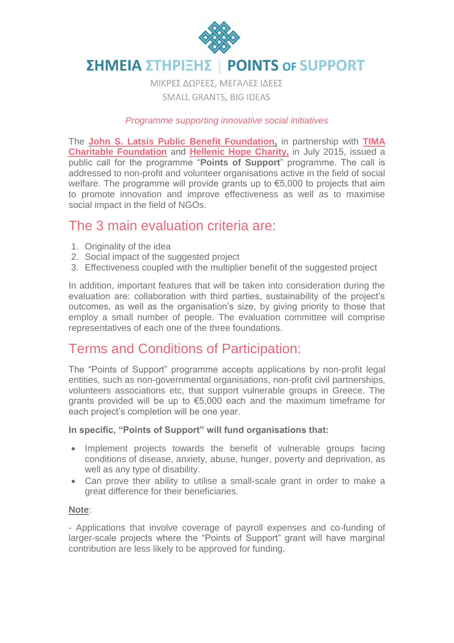

#### ΣΗΜΕΙΑ ΣΤΗΡΙΞΗΣ **POINTS OF SUPPORT**

ΜΙΚΡΕΣ ΔΩΡΕΕΣ, ΜΕΓΑΛΕΣ ΙΔΕΕΣ **SMALL GRANTS, BIG IDEAS** 

### *Programme supporting innovative social initiatives*

The **[John S. Latsis Public Benefit Foundation,](http://www.latsis-foundation.org/eng)** in partnership with **[TIMA](http://www.timafoundation.org/)  [Charitable Foundation](http://www.timafoundation.org/)** and **[Hellenic Hope Charity,](http://www.hellenic-hope.org/)** in July 2015, issued a public call for the programme "**Points of Support**" programme. The call is addressed to non-profit and volunteer organisations active in the field of social welfare. The programme will provide grants up to €5,000 to projects that aim to promote innovation and improve effectiveness as well as to maximise social impact in the field of NGOs.

### The 3 main evaluation criteria are:

- 1. Originality of the idea
- 2. Social impact of the suggested project
- 3. Effectiveness coupled with the multiplier benefit of the suggested project

In addition, important features that will be taken into consideration during the evaluation are: collaboration with third parties, sustainability of the project's outcomes, as well as the organisation's size, by giving priority to those that employ a small number of people. The evaluation committee will comprise representatives of each one of the three foundations.

# Terms and Conditions of Participation:

The "Points of Support" programme accepts applications by non-profit legal entities, such as non-governmental organisations, non-profit civil partnerships, volunteers associations etc, that support vulnerable groups in Greece. The grants provided will be up to €5,000 each and the maximum timeframe for each project's completion will be one year.

### **In specific, "Points of Support" will fund organisations that:**

- Implement projects towards the benefit of vulnerable groups facing conditions of disease, anxiety, abuse, hunger, poverty and deprivation, as well as any type of disability.
- Can prove their ability to utilise a small-scale grant in order to make a great difference for their beneficiaries.

#### **Note**:

- Applications that involve coverage of payroll expenses and co-funding of larger-scale projects where the "Points of Support" grant will have marginal contribution are less likely to be approved for funding.